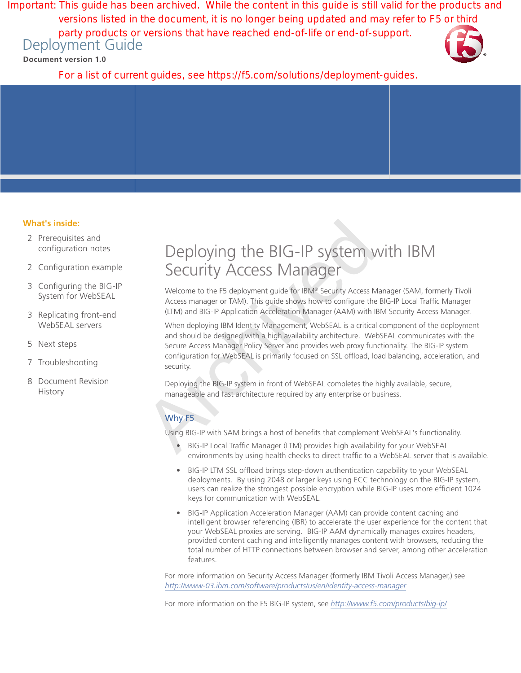Deployment Guide Important: This guide has been archived. While the content in this guide is still valid for the products and versions listed in the document, it is no longer being updated and may refer to F5 or third party products or versions that have reached end-of-life or end-of-support.

**Document version 1.0**



For a list of current guides, see https://f5.com/solutions/deployment-guides.

# **What's inside:**

- 2 [Prerequisites and](#page-1-0)  [configuration notes](#page-1-0)
- 2 [Configuration example](#page-1-0)
- 3 [Configuring the BIG-IP](#page-2-0)  [System for WebSEAL](#page-2-0)
- 3 [Replicating front-end](#page-2-0)  [WebSEAL servers](#page-2-0)
- 5 [Next steps](#page-4-0)
- 7 [Troubleshooting](#page-6-0)
- 8 [Document Revision](#page-7-0)  **[History](#page-7-0)**

# Deploying the BIG-IP system with IBM Security Access Manager

Welcome to the F5 deployment guide for IBM® Security Access Manager (SAM, formerly Tivoli Access manager or TAM). This guide shows how to configure the BIG-IP Local Traffic Manager (LTM) and BIG-IP Application Acceleration Manager (AAM) with IBM Security Access Manager.

Deploying the BIG-IP system V<br>Security Access Manager<br>Welcome to the F5 deployment guide for IBM® Security Access M<br>Access manager or TAM). This guide shows how to configure the<br>(LTM) and BIG-IP Application Acceleration Ma When deploying IBM Identity Management, WebSEAL is a critical component of the deployment and should be designed with a high availability architecture. WebSEAL communicates with the Secure Access Manager Policy Server and provides web proxy functionality. The BIG-IP system configuration for WebSEAL is primarily focused on SSL offload, load balancing, acceleration, and security.

Deploying the BIG-IP system in front of WebSEAL completes the highly available, secure, manageable and fast architecture required by any enterprise or business.

# Why F5

Using BIG-IP with SAM brings a host of benefits that complement WebSEAL's functionality.

- BIG-IP Local Traffic Manager (LTM) provides high availability for your WebSEAL environments by using health checks to direct traffic to a WebSEAL server that is available.
- BIG-IP LTM SSL offload brings step-down authentication capability to your WebSEAL deployments. By using 2048 or larger keys using ECC technology on the BIG-IP system, users can realize the strongest possible encryption while BIG-IP uses more efficient 1024 keys for communication with WebSEAL.
- BIG-IP Application Acceleration Manager (AAM) can provide content caching and intelligent browser referencing (IBR) to accelerate the user experience for the content that your WebSEAL proxies are serving. BIG-IP AAM dynamically manages expires headers, provided content caching and intelligently manages content with browsers, reducing the total number of HTTP connections between browser and server, among other acceleration features.

For more information on Security Access Manager (formerly IBM Tivoli Access Manager,) see *http://www-03.ibm.com/software/products/us/en/identity-access-manager*

For more information on the F5 BIG-IP system, see *http://www.f5.com/products/big-ip/*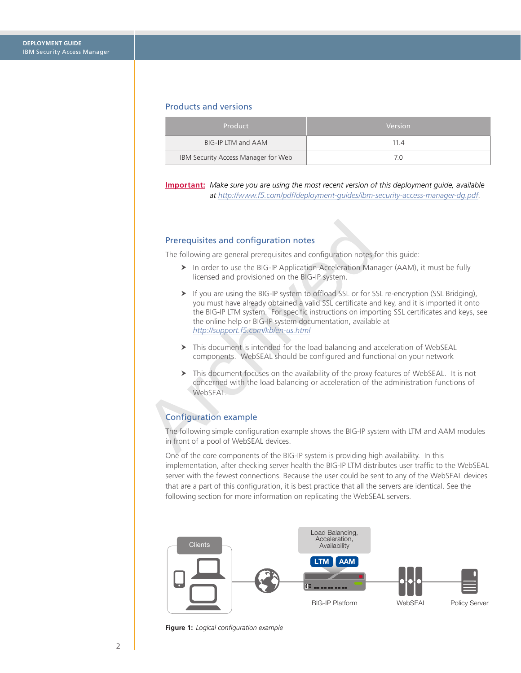## <span id="page-1-0"></span>Products and versions

| Product                             | Version |
|-------------------------------------|---------|
| BIG-IP LTM and AAM                  | 114     |
| IBM Security Access Manager for Web |         |

**Important:** *Make sure you are using the most recent version of this deployment guide, available at http://www.f5.com/pdf/deployment-guides/ibm-security-access-manager-dg.pdf.*

## Prerequisites and configuration notes

The following are general prerequisites and configuration notes for this guide:

- ▶ In order to use the BIG-IP Application Acceleration Manager (AAM), it must be fully licensed and provisioned on the BIG-IP system.
- **Prerequisites and configuration notes**<br>
The following are general prerequisites and configuration notes <br>  $\triangleright$  In order to use the BIG-IP Application Acceleration Man<br>
licensed and provisioned on the BIG-IP system.<br>  $\$  $\triangleright$  If you are using the BIG-IP system to offload SSL or for SSL re-encryption (SSL Bridging), you must have already obtained a valid SSL certificate and key, and it is imported it onto the BIG-IP LTM system. For specific instructions on importing SSL certificates and keys, see the online help or BIG-IP system documentation, available at *http://support.f5.com/kb/en-us.html*
	- $\triangleright$  This document is intended for the load balancing and acceleration of WebSEAL components. WebSEAL should be configured and functional on your network
	- $\triangleright$  This document focuses on the availability of the proxy features of WebSEAL. It is not concerned with the load balancing or acceleration of the administration functions of WebSEAL.

# Configuration example

The following simple configuration example shows the BIG-IP system with LTM and AAM modules in front of a pool of WebSEAL devices.

One of the core components of the BIG-IP system is providing high availability. In this implementation, after checking server health the BIG-IP LTM distributes user traffic to the WebSEAL server with the fewest connections. Because the user could be sent to any of the WebSEAL devices that are a part of this configuration, it is best practice that all the servers are identical. See the following section for more information on replicating the WebSEAL servers.



**Figure 1:** *Logical configuration example*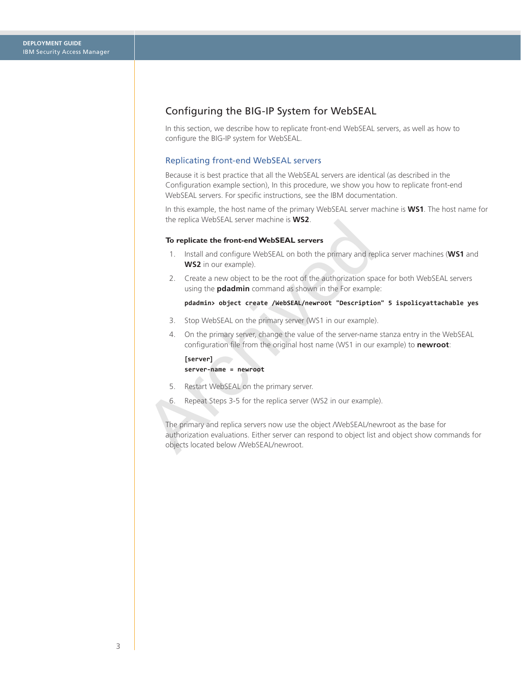# <span id="page-2-0"></span>Configuring the BIG-IP System for WebSEAL

In this section, we describe how to replicate front-end WebSEAL servers, as well as how to configure the BIG-IP system for WebSEAL.

## Replicating front-end WebSEAL servers

Because it is best practice that all the WebSEAL servers are identical (as described in the Configuration example section), In this procedure, we show you how to replicate front-end WebSEAL servers. For specific instructions, see the IBM documentation.

In this example, the host name of the primary WebSEAL server machine is **WS1**. The host name for the replica WebSEAL server machine is **WS2**.

#### **To replicate the front-end WebSEAL servers**

- 1. Install and configure WebSEAL on both the primary and replica server machines (**WS1** and **WS2** in our example).
- 2. Create a new object to be the root of the authorization space for both WebSEAL servers using the **pdadmin** command as shown in the For example:

#### **pdadmin> object create /WebSEAL/newroot "Description" 5 ispolicyattachable yes**

- 3. Stop WebSEAL on the primary server (WS1 in our example).
- 4. On the primary server, change the value of the server-name stanza entry in the WebSEAL configuration file from the original host name (WS1 in our example) to **newroot**:

**[server] server-name = newroot** 

- 5. Restart WebSEAL on the primary server.
- 6. Repeat Steps 3-5 for the replica server (WS2 in our example).

To replicate the front-end WebSEAL servers<br>
1. Install and configure WebSEAL servers<br>
1. Install and configure WebSEAL on both the primary and rest<br>
WS2 in our example).<br>
2. Create a new object to be the root of the author The primary and replica servers now use the object /WebSEAL/newroot as the base for authorization evaluations. Either server can respond to object list and object show commands for objects located below /WebSEAL/newroot.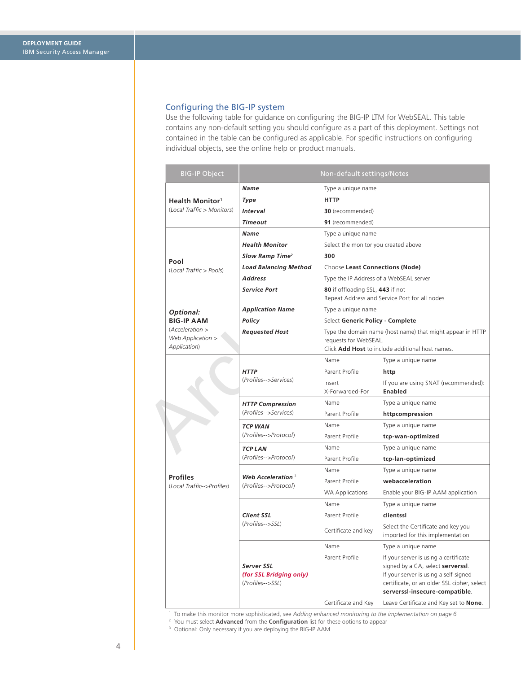# Configuring the BIG-IP system

Use the following table for guidance on configuring the BIG-IP LTM for WebSEAL. This table contains any non-default setting you should configure as a part of this deployment. Settings not contained in the table can be configured as applicable. For specific instructions on configuring individual objects, see the online help or product manuals.

| <b>BIG-IP Object</b>                                 | Non-default settings/Notes                                |                                                                                                                                                |                                                                                                                                                                                                      |  |  |
|------------------------------------------------------|-----------------------------------------------------------|------------------------------------------------------------------------------------------------------------------------------------------------|------------------------------------------------------------------------------------------------------------------------------------------------------------------------------------------------------|--|--|
|                                                      | <b>Name</b><br>Type a unique name                         |                                                                                                                                                |                                                                                                                                                                                                      |  |  |
| <b>Health Monitor1</b><br>(Local Traffic > Monitors) | Type                                                      | <b>HTTP</b>                                                                                                                                    |                                                                                                                                                                                                      |  |  |
|                                                      | <b>Interval</b>                                           | 30 (recommended)                                                                                                                               |                                                                                                                                                                                                      |  |  |
|                                                      | <b>Timeout</b>                                            | 91 (recommended)                                                                                                                               |                                                                                                                                                                                                      |  |  |
|                                                      | <b>Name</b>                                               | Type a unique name                                                                                                                             |                                                                                                                                                                                                      |  |  |
|                                                      | <b>Health Monitor</b>                                     | Select the monitor you created above                                                                                                           |                                                                                                                                                                                                      |  |  |
| Pool                                                 | Slow Ramp Time <sup>2</sup>                               | 300                                                                                                                                            |                                                                                                                                                                                                      |  |  |
| (Local Traffic > Pools)                              | <b>Load Balancing Method</b>                              | Choose Least Connections (Node)                                                                                                                |                                                                                                                                                                                                      |  |  |
|                                                      | <b>Address</b>                                            |                                                                                                                                                | Type the IP Address of a WebSEAL server                                                                                                                                                              |  |  |
|                                                      | <b>Service Port</b>                                       |                                                                                                                                                | 80 if offloading SSL, 443 if not<br>Repeat Address and Service Port for all nodes                                                                                                                    |  |  |
| <b>Optional:</b>                                     | <b>Application Name</b>                                   |                                                                                                                                                | Type a unique name                                                                                                                                                                                   |  |  |
| <b>BIG-IP AAM</b>                                    | Policy                                                    |                                                                                                                                                | Select Generic Policy - Complete                                                                                                                                                                     |  |  |
| (Acceleration ><br>Web Application ><br>Application) | <b>Requested Host</b>                                     | Type the domain name (host name) that might appear in HTTP<br>requests for WebSEAL.<br>Click <b>Add Host</b> to include additional host names. |                                                                                                                                                                                                      |  |  |
|                                                      |                                                           | Name                                                                                                                                           | Type a unique name                                                                                                                                                                                   |  |  |
|                                                      | <b>HTTP</b><br>(Profiles-->Services)                      | Parent Profile                                                                                                                                 | http                                                                                                                                                                                                 |  |  |
|                                                      |                                                           | Insert<br>X-Forwarded-For                                                                                                                      | If you are using SNAT (recommended):<br>Enabled                                                                                                                                                      |  |  |
|                                                      | <b>HTTP Compression</b>                                   | Name                                                                                                                                           | Type a unique name                                                                                                                                                                                   |  |  |
|                                                      | (Profiles-->Services)                                     | Parent Profile                                                                                                                                 | httpcompression                                                                                                                                                                                      |  |  |
|                                                      | <b>TCP WAN</b>                                            | Name                                                                                                                                           | Type a unique name                                                                                                                                                                                   |  |  |
|                                                      | (Profiles-->Protocol)                                     | Parent Profile                                                                                                                                 | tcp-wan-optimized                                                                                                                                                                                    |  |  |
|                                                      | <b>TCP LAN</b>                                            | Name                                                                                                                                           | Type a unique name                                                                                                                                                                                   |  |  |
|                                                      | (Profiles-->Protocol)                                     | Parent Profile                                                                                                                                 | tcp-lan-optimized                                                                                                                                                                                    |  |  |
|                                                      |                                                           | Name                                                                                                                                           | Type a unique name                                                                                                                                                                                   |  |  |
| <b>Profiles</b><br>(Local Traffic-->Profiles)        | Web Acceleration $3$<br>(Profiles-->Protocol)             | Parent Profile                                                                                                                                 | webacceleration                                                                                                                                                                                      |  |  |
|                                                      |                                                           | <b>WA Applications</b>                                                                                                                         | Enable your BIG-IP AAM application                                                                                                                                                                   |  |  |
|                                                      |                                                           | Name                                                                                                                                           | Type a unique name                                                                                                                                                                                   |  |  |
|                                                      | <b>Client SSL</b>                                         | Parent Profile                                                                                                                                 | clientssl                                                                                                                                                                                            |  |  |
|                                                      | (Profiles-->SSL)                                          | Certificate and key                                                                                                                            | Select the Certificate and key you<br>imported for this implementation                                                                                                                               |  |  |
|                                                      |                                                           | Name                                                                                                                                           | Type a unique name                                                                                                                                                                                   |  |  |
|                                                      | Server SSL<br>(for SSL Bridging only)<br>(Profiles-->SSL) | Parent Profile                                                                                                                                 | If your server is using a certificate<br>signed by a CA, select serverssl.<br>If your server is using a self-signed<br>certificate, or an older SSL cipher, select<br>serverssl-insecure-compatible. |  |  |
|                                                      |                                                           | Certificate and Key                                                                                                                            | Leave Certificate and Key set to <b>None</b> .                                                                                                                                                       |  |  |

1 To make this monitor more sophisticated, see *[Adding enhanced monitoring to the implementation on page 6](#page-5-0)*

2 You must select **Advanced** from the **Configuration** list for these options to appear

<sup>3</sup> Optional: Only necessary if you are deploying the BIG-IP AAM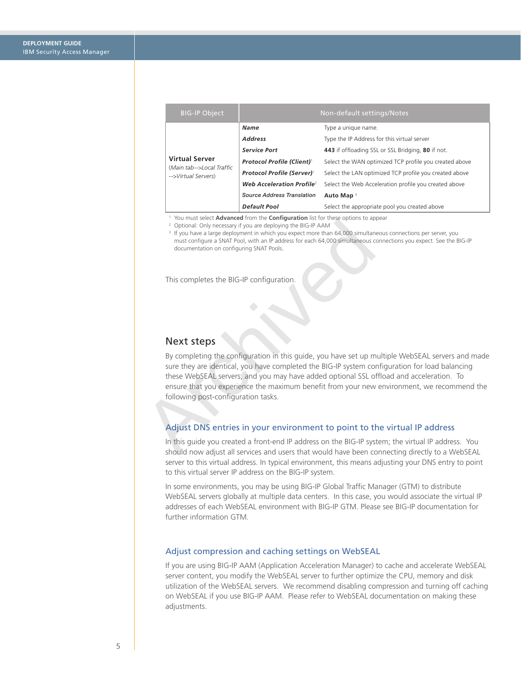<span id="page-4-0"></span>

| <b>BIG-IP Object</b>                                                      | Non-default settings/Notes                    |                                                        |  |
|---------------------------------------------------------------------------|-----------------------------------------------|--------------------------------------------------------|--|
| <b>Virtual Server</b><br>(Main tab-->Local Traffic<br>-->Virtual Servers) | <b>Name</b>                                   | Type a unique name.                                    |  |
|                                                                           | <b>Address</b>                                | Type the IP Address for this virtual server            |  |
|                                                                           | <b>Service Port</b>                           | 443 if offloading SSL or SSL Bridging, 80 if not.      |  |
|                                                                           | <b>Protocol Profile (Client)</b>              | Select the WAN optimized TCP profile you created above |  |
|                                                                           | <b>Protocol Profile (Server)</b> <sup>1</sup> | Select the LAN optimized TCP profile you created above |  |
|                                                                           | Web Acceleration Profile <sup>2</sup>         | Select the Web Acceleration profile you created above  |  |
|                                                                           | Source Address Translation                    | Auto Map <sup>3</sup>                                  |  |
|                                                                           | Default Pool                                  | Select the appropriate pool you created above          |  |

<sup>1</sup> You must select **Advanced** from the **Configuration** list for these options to appear

2 Optional: Only necessary if you are deploying the BIG-IP AAM

<sup>3</sup> If you have a large deployment in which you expect more than 64,000 simultaneous connections per server, you must configure a SNAT Pool, with an IP address for each 64,000 simultaneous connections you expect. See the BIG-IP documentation on configuring SNAT Pools.

This completes the BIG-IP configuration.

# Next steps

From the set a community of the BiG-IP AAM<br>
Poptional: Only necessary if you are deploying the BiG-IP AAM<br>
P if you have a large deployment in which you expect more than 64,000 simultanes<br>
must configure a SNAT Pool, with By completing the configuration in this guide, you have set up multiple WebSEAL servers and made sure they are identical, you have completed the BIG-IP system configuration for load balancing these WebSEAL servers, and you may have added optional SSL offload and acceleration. To ensure that you experience the maximum benefit from your new environment, we recommend the following post-configuration tasks.

# Adjust DNS entries in your environment to point to the virtual IP address

In this guide you created a front-end IP address on the BIG-IP system; the virtual IP address. You should now adjust all services and users that would have been connecting directly to a WebSEAL server to this virtual address. In typical environment, this means adjusting your DNS entry to point to this virtual server IP address on the BIG-IP system.

In some environments, you may be using BIG-IP Global Traffic Manager (GTM) to distribute WebSEAL servers globally at multiple data centers. In this case, you would associate the virtual IP addresses of each WebSEAL environment with BIG-IP GTM. Please see BIG-IP documentation for further information GTM.

# Adjust compression and caching settings on WebSEAL

If you are using BIG-IP AAM (Application Acceleration Manager) to cache and accelerate WebSEAL server content, you modify the WebSEAL server to further optimize the CPU, memory and disk utilization of the WebSEAL servers. We recommend disabling compression and turning off caching on WebSEAL if you use BIG-IP AAM. Please refer to WebSEAL documentation on making these adjustments.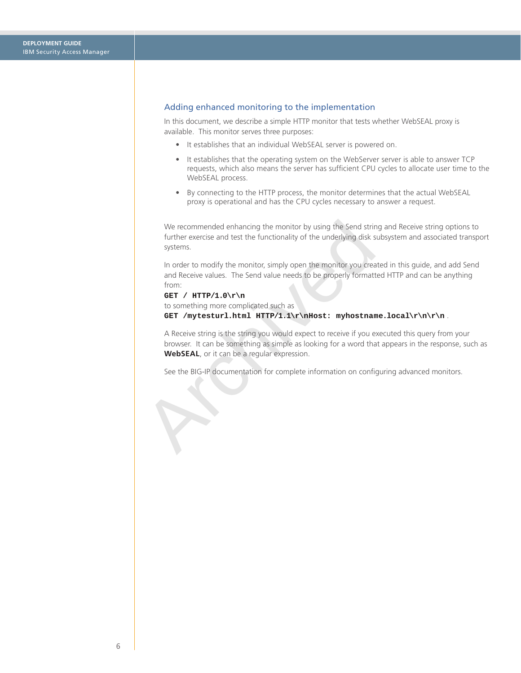# <span id="page-5-0"></span>Adding enhanced monitoring to the implementation

In this document, we describe a simple HTTP monitor that tests whether WebSEAL proxy is available. This monitor serves three purposes:

- It establishes that an individual WebSEAL server is powered on.
- It establishes that the operating system on the WebServer server is able to answer TCP requests, which also means the server has sufficient CPU cycles to allocate user time to the WebSEAL process.
- By connecting to the HTTP process, the monitor determines that the actual WebSEAL proxy is operational and has the CPU cycles necessary to answer a request.

We recommended enhancing the monitor by using the Send string and Receive string options to further exercise and test the functionality of the underlying disk subsystem and associated transport systems.

In order to modify the monitor, simply open the monitor you created in this guide, and add Send and Receive values. The Send value needs to be properly formatted HTTP and can be anything from:

## **GET / HTTP/1.0\r\n**

to something more complicated such as **GET /mytesturl.html HTTP/1.1\r\nHost: myhostname.local\r\n\r\n** .

We recommended enhancing the monitor by using the Send strin<br>further exercise and test the functionality of the underlying disk si<br>systems.<br>In order to modify the monitor, simply open the monitor you crea<br>and Receive valu A Receive string is the string you would expect to receive if you executed this query from your browser. It can be something as simple as looking for a word that appears in the response, such as **WebSEAL**, or it can be a regular expression.

See the BIG-IP documentation for complete information on configuring advanced monitors.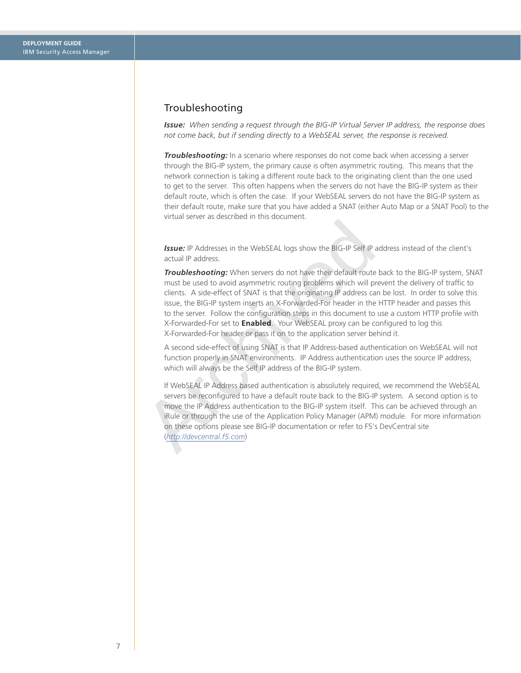# <span id="page-6-0"></span>Troubleshooting

*Issue: When sending a request through the BIG-IP Virtual Server IP address, the response does not come back, but if sending directly to a WebSEAL server, the response is received.*

*Troubleshooting:* In a scenario where responses do not come back when accessing a server through the BIG-IP system, the primary cause is often asymmetric routing. This means that the network connection is taking a different route back to the originating client than the one used to get to the server. This often happens when the servers do not have the BIG-IP system as their default route, which is often the case. If your WebSEAL servers do not have the BIG-IP system as their default route, make sure that you have added a SNAT (either Auto Map or a SNAT Pool) to the virtual server as described in this document.

**Issue:** IP Addresses in the WebSEAL logs show the BIG-IP Self IP address instead of the client's actual IP address.

**Issue:** IP Addresses in the WebSEAL logs show the BIG-IP Self IP a<br>
actual IP address.<br> **Troubleshooting:** When servers do not have their default route<br>
must be used to avoid asymmetric routing problems which will pr<br>
cl *Troubleshooting:* When servers do not have their default route back to the BIG-IP system, SNAT must be used to avoid asymmetric routing problems which will prevent the delivery of traffic to clients. A side-effect of SNAT is that the originating IP address can be lost. In order to solve this issue, the BIG-IP system inserts an X-Forwarded-For header in the HTTP header and passes this to the server. Follow the configuration steps in this document to use a custom HTTP profile with X-Forwarded-For set to **Enabled**. Your WebSEAL proxy can be configured to log this X-Forwarded-For header or pass it on to the application server behind it.

A second side-effect of using SNAT is that IP Address-based authentication on WebSEAL will not function properly in SNAT environments. IP Address authentication uses the source IP address, which will always be the Self IP address of the BIG-IP system.

If WebSEAL IP Address based authentication is absolutely required, we recommend the WebSEAL servers be reconfigured to have a default route back to the BIG-IP system. A second option is to move the IP Address authentication to the BIG-IP system itself. This can be achieved through an iRule or through the use of the Application Policy Manager (APM) module. For more information on these options please see BIG-IP documentation or refer to F5's DevCentral site (*http://devcentral.f5.com*)